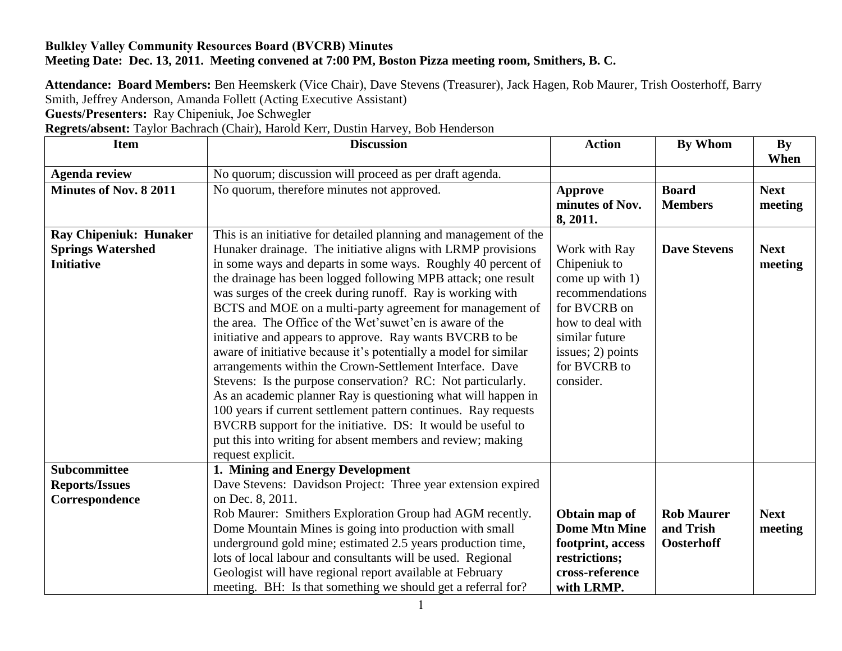## **Bulkley Valley Community Resources Board (BVCRB) Minutes Meeting Date: Dec. 13, 2011. Meeting convened at 7:00 PM, Boston Pizza meeting room, Smithers, B. C.**

**Attendance: Board Members:** Ben Heemskerk (Vice Chair), Dave Stevens (Treasurer), Jack Hagen, Rob Maurer, Trish Oosterhoff, Barry Smith, Jeffrey Anderson, Amanda Follett (Acting Executive Assistant)

**Guests/Presenters:** Ray Chipeniuk, Joe Schwegler

**Regrets/absent:** Taylor Bachrach (Chair), Harold Kerr, Dustin Harvey, Bob Henderson

| <b>Item</b>                                                                    | <b>Discussion</b>                                                                                                                                                                                                                                                                                                                                                                                                                                                                                                                                                                                                                                                                                                                                                                                                                                                                                                                                                                                           | <b>Action</b>                                                                                                                                                               | By Whom                                      | By<br>When             |
|--------------------------------------------------------------------------------|-------------------------------------------------------------------------------------------------------------------------------------------------------------------------------------------------------------------------------------------------------------------------------------------------------------------------------------------------------------------------------------------------------------------------------------------------------------------------------------------------------------------------------------------------------------------------------------------------------------------------------------------------------------------------------------------------------------------------------------------------------------------------------------------------------------------------------------------------------------------------------------------------------------------------------------------------------------------------------------------------------------|-----------------------------------------------------------------------------------------------------------------------------------------------------------------------------|----------------------------------------------|------------------------|
| <b>Agenda review</b>                                                           | No quorum; discussion will proceed as per draft agenda.                                                                                                                                                                                                                                                                                                                                                                                                                                                                                                                                                                                                                                                                                                                                                                                                                                                                                                                                                     |                                                                                                                                                                             |                                              |                        |
| <b>Minutes of Nov. 8 2011</b>                                                  | No quorum, therefore minutes not approved.                                                                                                                                                                                                                                                                                                                                                                                                                                                                                                                                                                                                                                                                                                                                                                                                                                                                                                                                                                  | Approve<br>minutes of Nov.<br>8, 2011.                                                                                                                                      | <b>Board</b><br><b>Members</b>               | <b>Next</b><br>meeting |
| <b>Ray Chipeniuk: Hunaker</b><br><b>Springs Watershed</b><br><b>Initiative</b> | This is an initiative for detailed planning and management of the<br>Hunaker drainage. The initiative aligns with LRMP provisions<br>in some ways and departs in some ways. Roughly 40 percent of<br>the drainage has been logged following MPB attack; one result<br>was surges of the creek during runoff. Ray is working with<br>BCTS and MOE on a multi-party agreement for management of<br>the area. The Office of the Wet'suwet'en is aware of the<br>initiative and appears to approve. Ray wants BVCRB to be<br>aware of initiative because it's potentially a model for similar<br>arrangements within the Crown-Settlement Interface. Dave<br>Stevens: Is the purpose conservation? RC: Not particularly.<br>As an academic planner Ray is questioning what will happen in<br>100 years if current settlement pattern continues. Ray requests<br>BVCRB support for the initiative. DS: It would be useful to<br>put this into writing for absent members and review; making<br>request explicit. | Work with Ray<br>Chipeniuk to<br>come up with 1)<br>recommendations<br>for BVCRB on<br>how to deal with<br>similar future<br>issues; 2) points<br>for BVCRB to<br>consider. | <b>Dave Stevens</b>                          | <b>Next</b><br>meeting |
| <b>Subcommittee</b><br><b>Reports/Issues</b><br>Correspondence                 | 1. Mining and Energy Development<br>Dave Stevens: Davidson Project: Three year extension expired<br>on Dec. 8, 2011.<br>Rob Maurer: Smithers Exploration Group had AGM recently.<br>Dome Mountain Mines is going into production with small<br>underground gold mine; estimated 2.5 years production time,<br>lots of local labour and consultants will be used. Regional<br>Geologist will have regional report available at February<br>meeting. BH: Is that something we should get a referral for?                                                                                                                                                                                                                                                                                                                                                                                                                                                                                                      | Obtain map of<br><b>Dome Mtn Mine</b><br>footprint, access<br>restrictions;<br>cross-reference<br>with LRMP.                                                                | <b>Rob Maurer</b><br>and Trish<br>Oosterhoff | <b>Next</b><br>meeting |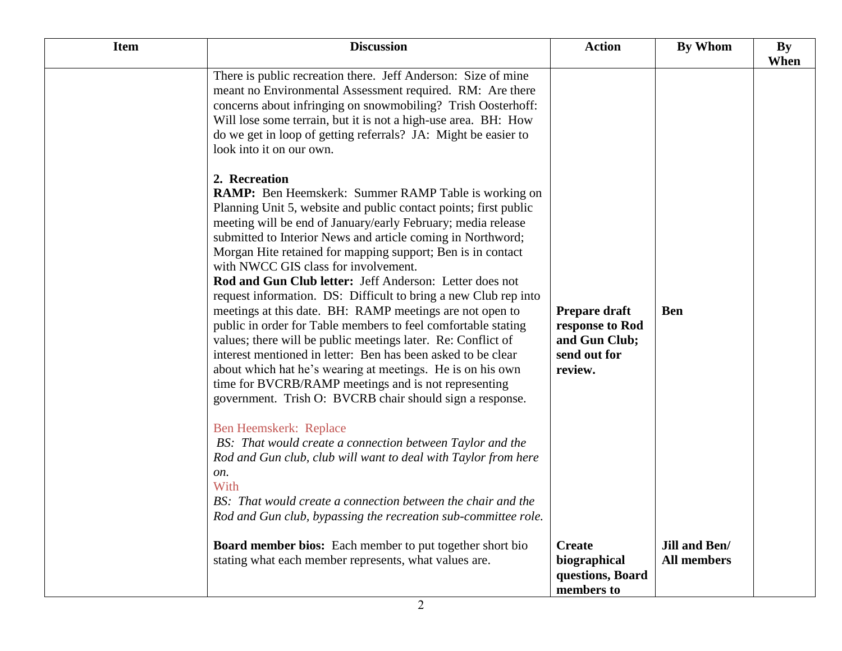| <b>Item</b> | <b>Discussion</b>                                                                                                                                                                                                                                                                                                                                                                                                                                                                                                                                                                                                                                                                                                                                                                                                                                                                                                                                                                                               | <b>Action</b>                                                   | By Whom                             | <b>By</b> |
|-------------|-----------------------------------------------------------------------------------------------------------------------------------------------------------------------------------------------------------------------------------------------------------------------------------------------------------------------------------------------------------------------------------------------------------------------------------------------------------------------------------------------------------------------------------------------------------------------------------------------------------------------------------------------------------------------------------------------------------------------------------------------------------------------------------------------------------------------------------------------------------------------------------------------------------------------------------------------------------------------------------------------------------------|-----------------------------------------------------------------|-------------------------------------|-----------|
|             | There is public recreation there. Jeff Anderson: Size of mine<br>meant no Environmental Assessment required. RM: Are there<br>concerns about infringing on snowmobiling? Trish Oosterhoff:<br>Will lose some terrain, but it is not a high-use area. BH: How<br>do we get in loop of getting referrals? JA: Might be easier to<br>look into it on our own.<br>2. Recreation<br><b>RAMP:</b> Ben Heemskerk: Summer RAMP Table is working on<br>Planning Unit 5, website and public contact points; first public<br>meeting will be end of January/early February; media release<br>submitted to Interior News and article coming in Northword;<br>Morgan Hite retained for mapping support; Ben is in contact<br>with NWCC GIS class for involvement.<br>Rod and Gun Club letter: Jeff Anderson: Letter does not<br>request information. DS: Difficult to bring a new Club rep into<br>meetings at this date. BH: RAMP meetings are not open to<br>public in order for Table members to feel comfortable stating | Prepare draft<br>response to Rod                                | <b>Ben</b>                          | When      |
|             | values; there will be public meetings later. Re: Conflict of<br>interest mentioned in letter: Ben has been asked to be clear<br>about which hat he's wearing at meetings. He is on his own<br>time for BVCRB/RAMP meetings and is not representing<br>government. Trish O: BVCRB chair should sign a response.<br>Ben Heemskerk: Replace<br>BS: That would create a connection between Taylor and the<br>Rod and Gun club, club will want to deal with Taylor from here<br>on.<br>With<br>BS: That would create a connection between the chair and the<br>Rod and Gun club, bypassing the recreation sub-committee role.                                                                                                                                                                                                                                                                                                                                                                                        | and Gun Club;<br>send out for<br>review.                        |                                     |           |
|             | <b>Board member bios:</b> Each member to put together short bio<br>stating what each member represents, what values are.                                                                                                                                                                                                                                                                                                                                                                                                                                                                                                                                                                                                                                                                                                                                                                                                                                                                                        | <b>Create</b><br>biographical<br>questions, Board<br>members to | Jill and Ben/<br><b>All members</b> |           |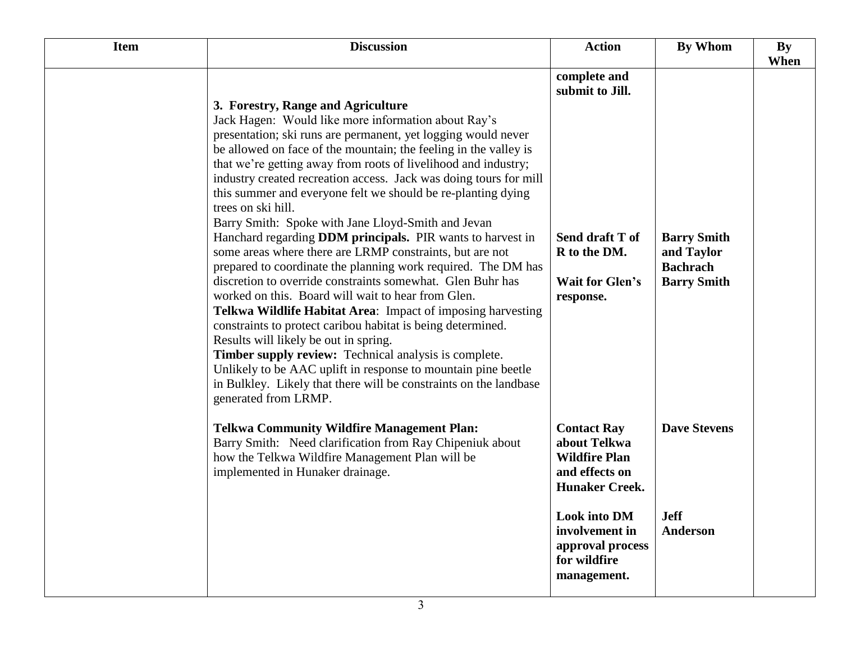| <b>Item</b> | <b>Discussion</b>                                                                                                                                                                                                                                                                                                                                                                                                                                                                                                                                                                                                                                                                                                                                                                                                                                                                                                                                                                                                                                                                                                                                                                                                                     | <b>Action</b>                                                                                             | <b>By Whom</b>                                                            | <b>By</b> |
|-------------|---------------------------------------------------------------------------------------------------------------------------------------------------------------------------------------------------------------------------------------------------------------------------------------------------------------------------------------------------------------------------------------------------------------------------------------------------------------------------------------------------------------------------------------------------------------------------------------------------------------------------------------------------------------------------------------------------------------------------------------------------------------------------------------------------------------------------------------------------------------------------------------------------------------------------------------------------------------------------------------------------------------------------------------------------------------------------------------------------------------------------------------------------------------------------------------------------------------------------------------|-----------------------------------------------------------------------------------------------------------|---------------------------------------------------------------------------|-----------|
|             | 3. Forestry, Range and Agriculture<br>Jack Hagen: Would like more information about Ray's<br>presentation; ski runs are permanent, yet logging would never<br>be allowed on face of the mountain; the feeling in the valley is<br>that we're getting away from roots of livelihood and industry;<br>industry created recreation access. Jack was doing tours for mill<br>this summer and everyone felt we should be re-planting dying<br>trees on ski hill.<br>Barry Smith: Spoke with Jane Lloyd-Smith and Jevan<br>Hanchard regarding <b>DDM</b> principals. PIR wants to harvest in<br>some areas where there are LRMP constraints, but are not<br>prepared to coordinate the planning work required. The DM has<br>discretion to override constraints somewhat. Glen Buhr has<br>worked on this. Board will wait to hear from Glen.<br>Telkwa Wildlife Habitat Area: Impact of imposing harvesting<br>constraints to protect caribou habitat is being determined.<br>Results will likely be out in spring.<br>Timber supply review: Technical analysis is complete.<br>Unlikely to be AAC uplift in response to mountain pine beetle<br>in Bulkley. Likely that there will be constraints on the landbase<br>generated from LRMP. | complete and<br>submit to Jill.<br>Send draft T of<br>R to the DM.<br><b>Wait for Glen's</b><br>response. | <b>Barry Smith</b><br>and Taylor<br><b>Bachrach</b><br><b>Barry Smith</b> | When      |
|             | <b>Telkwa Community Wildfire Management Plan:</b><br>Barry Smith: Need clarification from Ray Chipeniuk about<br>how the Telkwa Wildfire Management Plan will be<br>implemented in Hunaker drainage.                                                                                                                                                                                                                                                                                                                                                                                                                                                                                                                                                                                                                                                                                                                                                                                                                                                                                                                                                                                                                                  | <b>Contact Ray</b><br>about Telkwa<br><b>Wildfire Plan</b><br>and effects on<br><b>Hunaker Creek.</b>     | <b>Dave Stevens</b>                                                       |           |
|             |                                                                                                                                                                                                                                                                                                                                                                                                                                                                                                                                                                                                                                                                                                                                                                                                                                                                                                                                                                                                                                                                                                                                                                                                                                       | <b>Look into DM</b><br>involvement in<br>approval process<br>for wildfire<br>management.                  | <b>Jeff</b><br>Anderson                                                   |           |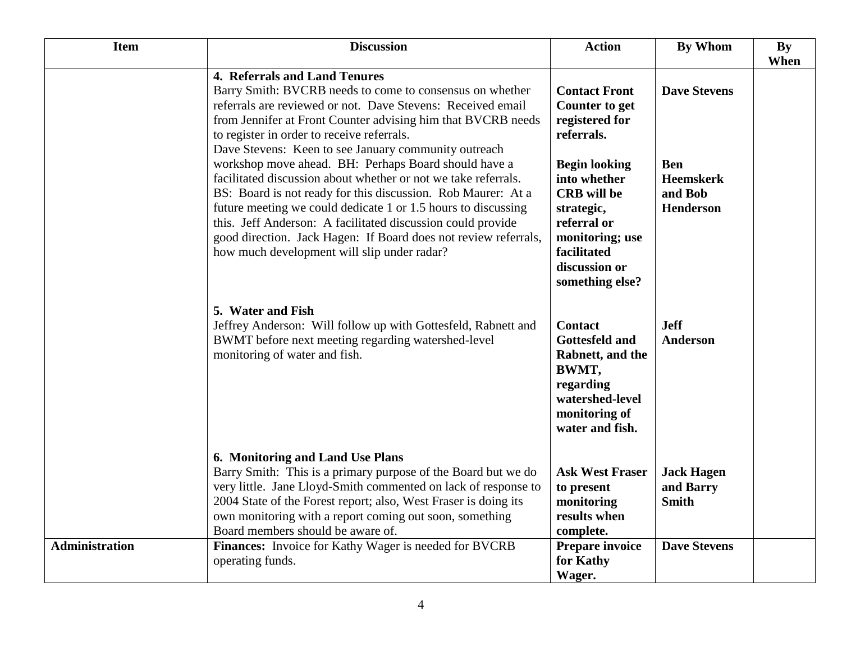| <b>Item</b>           | <b>Discussion</b>                                                                                                                                                                                                                                                                                                                                                                                                                                                                                                                                                                                                                                                                                                                                                          | <b>Action</b>                                                                                                                                                                                                                                  | <b>By Whom</b>                                                                       | <b>By</b><br>When |
|-----------------------|----------------------------------------------------------------------------------------------------------------------------------------------------------------------------------------------------------------------------------------------------------------------------------------------------------------------------------------------------------------------------------------------------------------------------------------------------------------------------------------------------------------------------------------------------------------------------------------------------------------------------------------------------------------------------------------------------------------------------------------------------------------------------|------------------------------------------------------------------------------------------------------------------------------------------------------------------------------------------------------------------------------------------------|--------------------------------------------------------------------------------------|-------------------|
|                       | 4. Referrals and Land Tenures<br>Barry Smith: BVCRB needs to come to consensus on whether<br>referrals are reviewed or not. Dave Stevens: Received email<br>from Jennifer at Front Counter advising him that BVCRB needs<br>to register in order to receive referrals.<br>Dave Stevens: Keen to see January community outreach<br>workshop move ahead. BH: Perhaps Board should have a<br>facilitated discussion about whether or not we take referrals.<br>BS: Board is not ready for this discussion. Rob Maurer: At a<br>future meeting we could dedicate 1 or 1.5 hours to discussing<br>this. Jeff Anderson: A facilitated discussion could provide<br>good direction. Jack Hagen: If Board does not review referrals,<br>how much development will slip under radar? | <b>Contact Front</b><br><b>Counter to get</b><br>registered for<br>referrals.<br><b>Begin looking</b><br>into whether<br><b>CRB</b> will be<br>strategic,<br>referral or<br>monitoring; use<br>facilitated<br>discussion or<br>something else? | <b>Dave Stevens</b><br><b>Ben</b><br><b>Heemskerk</b><br>and Bob<br><b>Henderson</b> |                   |
|                       | 5. Water and Fish<br>Jeffrey Anderson: Will follow up with Gottesfeld, Rabnett and<br>BWMT before next meeting regarding watershed-level<br>monitoring of water and fish.                                                                                                                                                                                                                                                                                                                                                                                                                                                                                                                                                                                                  | <b>Contact</b><br><b>Gottesfeld and</b><br>Rabnett, and the<br>BWMT,<br>regarding<br>watershed-level<br>monitoring of<br>water and fish.                                                                                                       | <b>Jeff</b><br>Anderson                                                              |                   |
|                       | 6. Monitoring and Land Use Plans<br>Barry Smith: This is a primary purpose of the Board but we do<br>very little. Jane Lloyd-Smith commented on lack of response to<br>2004 State of the Forest report; also, West Fraser is doing its<br>own monitoring with a report coming out soon, something<br>Board members should be aware of.                                                                                                                                                                                                                                                                                                                                                                                                                                     | <b>Ask West Fraser</b><br>to present<br>monitoring<br>results when<br>complete.                                                                                                                                                                | <b>Jack Hagen</b><br>and Barry<br><b>Smith</b>                                       |                   |
| <b>Administration</b> | Finances: Invoice for Kathy Wager is needed for BVCRB<br>operating funds.                                                                                                                                                                                                                                                                                                                                                                                                                                                                                                                                                                                                                                                                                                  | Prepare invoice<br>for Kathy<br>Wager.                                                                                                                                                                                                         | <b>Dave Stevens</b>                                                                  |                   |